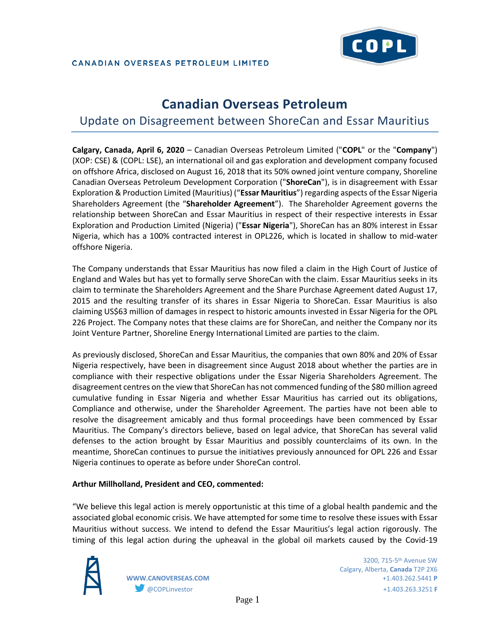

#### CANADIAN OVERSEAS PETROLEUM LIMITED

# **Canadian Overseas Petroleum**

## Update on Disagreement between ShoreCan and Essar Mauritius

**Calgary, Canada, April 6, 2020** – Canadian Overseas Petroleum Limited ("**COPL**" or the "**Company**") (XOP: CSE) & (COPL: LSE), an international oil and gas exploration and development company focused on offshore Africa, disclosed on August 16, 2018 that its 50% owned joint venture company, Shoreline Canadian Overseas Petroleum Development Corporation ("**ShoreCan**"), is in disagreement with Essar Exploration & Production Limited (Mauritius) ("**Essar Mauritius**") regarding aspects of the Essar Nigeria Shareholders Agreement (the "**Shareholder Agreement**"). The Shareholder Agreement governs the relationship between ShoreCan and Essar Mauritius in respect of their respective interests in Essar Exploration and Production Limited (Nigeria) ("**Essar Nigeria**"), ShoreCan has an 80% interest in Essar Nigeria, which has a 100% contracted interest in OPL226, which is located in shallow to mid-water offshore Nigeria.

The Company understands that Essar Mauritius has now filed a claim in the High Court of Justice of England and Wales but has yet to formally serve ShoreCan with the claim. Essar Mauritius seeks in its claim to terminate the Shareholders Agreement and the Share Purchase Agreement dated August 17, 2015 and the resulting transfer of its shares in Essar Nigeria to ShoreCan. Essar Mauritius is also claiming US\$63 million of damages in respect to historic amounts invested in Essar Nigeria for the OPL 226 Project. The Company notes that these claims are for ShoreCan, and neither the Company nor its Joint Venture Partner, Shoreline Energy International Limited are parties to the claim.

As previously disclosed, ShoreCan and Essar Mauritius, the companies that own 80% and 20% of Essar Nigeria respectively, have been in disagreement since August 2018 about whether the parties are in compliance with their respective obligations under the Essar Nigeria Shareholders Agreement. The disagreement centres on the view that ShoreCan has not commenced funding of the \$80 million agreed cumulative funding in Essar Nigeria and whether Essar Mauritius has carried out its obligations, Compliance and otherwise, under the Shareholder Agreement. The parties have not been able to resolve the disagreement amicably and thus formal proceedings have been commenced by Essar Mauritius. The Company's directors believe, based on legal advice, that ShoreCan has several valid defenses to the action brought by Essar Mauritius and possibly counterclaims of its own. In the meantime, ShoreCan continues to pursue the initiatives previously announced for OPL 226 and Essar Nigeria continues to operate as before under ShoreCan control.

#### **Arthur Millholland, President and CEO, commented:**

"We believe this legal action is merely opportunistic at this time of a global health pandemic and the associated global economic crisis. We have attempted for some time to resolve these issues with Essar Mauritius without success. We intend to defend the Essar Mauritius's legal action rigorously. The timing of this legal action during the upheaval in the global oil markets caused by the Covid-19



 $3200, 715$ – $5^{\rm th}$  Avenue SW  $^{\rm 3200, \, 715}$ – $5^{\rm th}$  Avenue SW Calgary, Alberta, **Canada** T2P 2X6 **WWW.CANOVERSEAS.COM** +1.403.262.5441 **P** @COPLinvestor +1.403.263.3251 **F**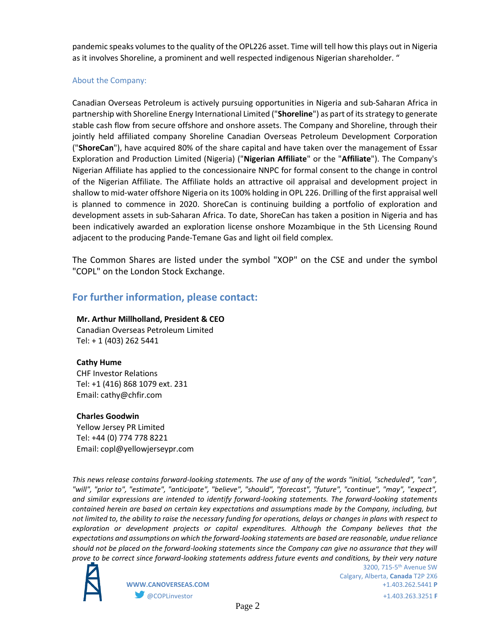pandemic speaks volumes to the quality of the OPL226 asset. Time will tell how this plays out in Nigeria as it involves Shoreline, a prominent and well respected indigenous Nigerian shareholder. "

#### About the Company:

Canadian Overseas Petroleum is actively pursuing opportunities in Nigeria and sub-Saharan Africa in partnership with Shoreline Energy International Limited ("**Shoreline**") as part of its strategy to generate stable cash flow from secure offshore and onshore assets. The Company and Shoreline, through their jointly held affiliated company Shoreline Canadian Overseas Petroleum Development Corporation ("**ShoreCan**"), have acquired 80% of the share capital and have taken over the management of Essar Exploration and Production Limited (Nigeria) ("**Nigerian Affiliate**" or the "**Affiliate**"). The Company's Nigerian Affiliate has applied to the concessionaire NNPC for formal consent to the change in control of the Nigerian Affiliate. The Affiliate holds an attractive oil appraisal and development project in shallow to mid-water offshore Nigeria on its 100% holding in OPL 226. Drilling of the first appraisal well is planned to commence in 2020. ShoreCan is continuing building a portfolio of exploration and development assets in sub-Saharan Africa. To date, ShoreCan has taken a position in Nigeria and has been indicatively awarded an exploration license onshore Mozambique in the 5th Licensing Round adjacent to the producing Pande-Temane Gas and light oil field complex.

The Common Shares are listed under the symbol "XOP" on the CSE and under the symbol "COPL" on the London Stock Exchange.

### **For further information, please contact:**

#### **Mr. Arthur Millholland, President & CEO**

Canadian Overseas Petroleum Limited Tel: + 1 (403) 262 5441

#### **Cathy Hume**

CHF Investor Relations Tel: +1 (416) 868 1079 ext. 231 Email: cathy@chfir.com

#### **Charles Goodwin**

Yellow Jersey PR Limited Tel: +44 (0) 774 778 8221 Email: copl@yellowjerseypr.com

*This news release contains forward-looking statements. The use of any of the words "initial, "scheduled", "can", "will", "prior to", "estimate", "anticipate", "believe", "should", "forecast", "future", "continue", "may", "expect", and similar expressions are intended to identify forward-looking statements. The forward-looking statements contained herein are based on certain key expectations and assumptions made by the Company, including, but not limited to, the ability to raise the necessary funding for operations, delays or changes in plans with respect to exploration or development projects or capital expenditures. Although the Company believes that the expectations and assumptions on which the forward-looking statements are based are reasonable, undue reliance should not be placed on the forward-looking statements since the Company can give no assurance that they will prove to be correct since forward-looking statements address future events and conditions, by their very nature*